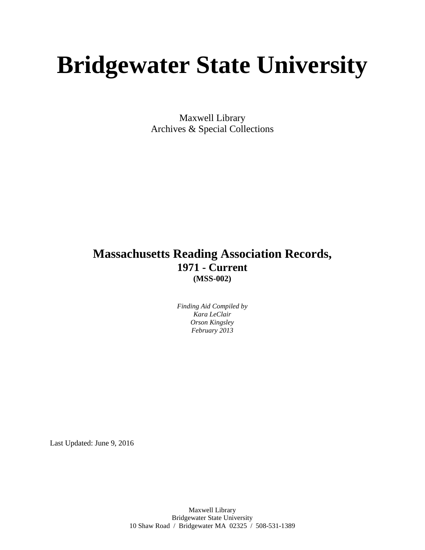# **Bridgewater State University**

Maxwell Library Archives & Special Collections

# **Massachusetts Reading Association Records, 1971 - Current (MSS-002)**

*Finding Aid Compiled by Kara LeClair Orson Kingsley February 2013*

Last Updated: June 9, 2016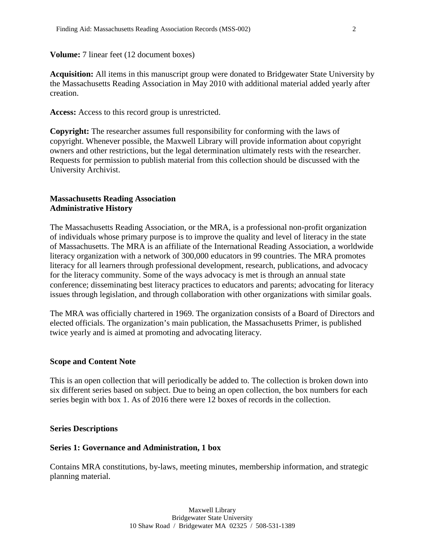**Volume:** 7 linear feet (12 document boxes)

**Acquisition:** All items in this manuscript group were donated to Bridgewater State University by the Massachusetts Reading Association in May 2010 with additional material added yearly after creation.

**Access:** Access to this record group is unrestricted.

**Copyright:** The researcher assumes full responsibility for conforming with the laws of copyright. Whenever possible, the Maxwell Library will provide information about copyright owners and other restrictions, but the legal determination ultimately rests with the researcher. Requests for permission to publish material from this collection should be discussed with the University Archivist.

#### **Massachusetts Reading Association Administrative History**

The Massachusetts Reading Association, or the MRA, is a professional non-profit organization of individuals whose primary purpose is to improve the quality and level of literacy in the state of Massachusetts. The MRA is an affiliate of the International Reading Association, a worldwide literacy organization with a network of 300,000 educators in 99 countries. The MRA promotes literacy for all learners through professional development, research, publications, and advocacy for the literacy community. Some of the ways advocacy is met is through an annual state conference; disseminating best literacy practices to educators and parents; advocating for literacy issues through legislation, and through collaboration with other organizations with similar goals.

The MRA was officially chartered in 1969. The organization consists of a Board of Directors and elected officials. The organization's main publication, the Massachusetts Primer, is published twice yearly and is aimed at promoting and advocating literacy.

#### **Scope and Content Note**

This is an open collection that will periodically be added to. The collection is broken down into six different series based on subject. Due to being an open collection, the box numbers for each series begin with box 1. As of 2016 there were 12 boxes of records in the collection.

#### **Series Descriptions**

#### **Series 1: Governance and Administration, 1 box**

Contains MRA constitutions, by-laws, meeting minutes, membership information, and strategic planning material.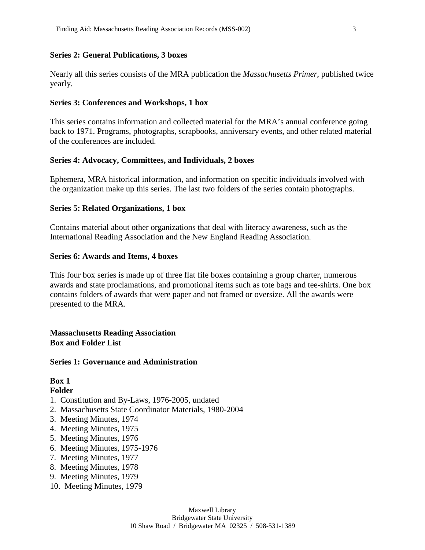#### **Series 2: General Publications, 3 boxes**

Nearly all this series consists of the MRA publication the *Massachusetts Primer*, published twice yearly.

#### **Series 3: Conferences and Workshops, 1 box**

This series contains information and collected material for the MRA's annual conference going back to 1971. Programs, photographs, scrapbooks, anniversary events, and other related material of the conferences are included.

#### **Series 4: Advocacy, Committees, and Individuals, 2 boxes**

Ephemera, MRA historical information, and information on specific individuals involved with the organization make up this series. The last two folders of the series contain photographs.

#### **Series 5: Related Organizations, 1 box**

Contains material about other organizations that deal with literacy awareness, such as the International Reading Association and the New England Reading Association.

#### **Series 6: Awards and Items, 4 boxes**

This four box series is made up of three flat file boxes containing a group charter, numerous awards and state proclamations, and promotional items such as tote bags and tee-shirts. One box contains folders of awards that were paper and not framed or oversize. All the awards were presented to the MRA.

#### **Massachusetts Reading Association Box and Folder List**

#### **Series 1: Governance and Administration**

# **Box 1**

- 1. Constitution and By-Laws, 1976-2005, undated
- 2. Massachusetts State Coordinator Materials, 1980-2004
- 3. Meeting Minutes, 1974
- 4. Meeting Minutes, 1975
- 5. Meeting Minutes, 1976
- 6. Meeting Minutes, 1975-1976
- 7. Meeting Minutes, 1977
- 8. Meeting Minutes, 1978
- 9. Meeting Minutes, 1979
- 10. Meeting Minutes, 1979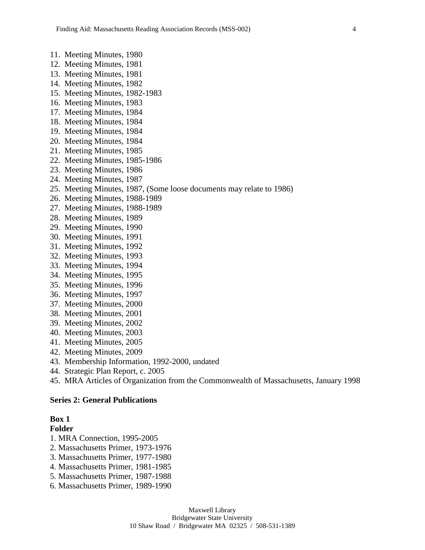- 11. Meeting Minutes, 1980
- 12. Meeting Minutes, 1981
- 13. Meeting Minutes, 1981
- 14. Meeting Minutes, 1982
- 15. Meeting Minutes, 1982-1983
- 16. Meeting Minutes, 1983
- 17. Meeting Minutes, 1984
- 18. Meeting Minutes, 1984
- 19. Meeting Minutes, 1984
- 20. Meeting Minutes, 1984
- 21. Meeting Minutes, 1985
- 22. Meeting Minutes, 1985-1986
- 23. Meeting Minutes, 1986
- 24. Meeting Minutes, 1987
- 25. Meeting Minutes, 1987, (Some loose documents may relate to 1986)
- 26. Meeting Minutes, 1988-1989
- 27. Meeting Minutes, 1988-1989
- 28. Meeting Minutes, 1989
- 29. Meeting Minutes, 1990
- 30. Meeting Minutes, 1991
- 31. Meeting Minutes, 1992
- 32. Meeting Minutes, 1993
- 33. Meeting Minutes, 1994
- 34. Meeting Minutes, 1995
- 35. Meeting Minutes, 1996
- 36. Meeting Minutes, 1997
- 37. Meeting Minutes, 2000
- 38. Meeting Minutes, 2001
- 39. Meeting Minutes, 2002
- 
- 40. Meeting Minutes, 2003
- 41. Meeting Minutes, 2005
- 42. Meeting Minutes, 2009
- 43. Membership Information, 1992-2000, undated
- 44. Strategic Plan Report, c. 2005
- 45. MRA Articles of Organization from the Commonwealth of Massachusetts, January 1998

#### **Series 2: General Publications**

#### **Box 1**

- 1. MRA Connection, 1995-2005
- 2. Massachusetts Primer, 1973-1976
- 3. Massachusetts Primer, 1977-1980
- 4. Massachusetts Primer, 1981-1985
- 5. Massachusetts Primer, 1987-1988
- 6. Massachusetts Primer, 1989-1990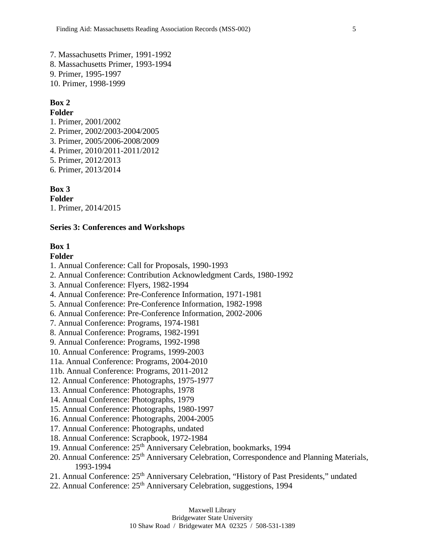7. Massachusetts Primer, 1991-1992 8. Massachusetts Primer, 1993-1994 9. Primer, 1995-1997 10. Primer, 1998-1999

# **Box 2**

#### **Folder**

1. Primer, 2001/2002 2. Primer, 2002/2003-2004/2005 3. Primer, 2005/2006-2008/2009 4. Primer, 2010/2011-2011/2012 5. Primer, 2012/2013 6. Primer, 2013/2014

#### **Box 3**

**Folder** 1. Primer, 2014/2015

#### **Series 3: Conferences and Workshops**

#### **Box 1**

- 1. Annual Conference: Call for Proposals, 1990-1993
- 2. Annual Conference: Contribution Acknowledgment Cards, 1980-1992
- 3. Annual Conference: Flyers, 1982-1994
- 4. Annual Conference: Pre-Conference Information, 1971-1981
- 5. Annual Conference: Pre-Conference Information, 1982-1998
- 6. Annual Conference: Pre-Conference Information, 2002-2006
- 7. Annual Conference: Programs, 1974-1981
- 8. Annual Conference: Programs, 1982-1991
- 9. Annual Conference: Programs, 1992-1998
- 10. Annual Conference: Programs, 1999-2003
- 11a. Annual Conference: Programs, 2004-2010
- 11b. Annual Conference: Programs, 2011-2012
- 12. Annual Conference: Photographs, 1975-1977
- 13. Annual Conference: Photographs, 1978
- 14. Annual Conference: Photographs, 1979
- 15. Annual Conference: Photographs, 1980-1997
- 16. Annual Conference: Photographs, 2004-2005
- 17. Annual Conference: Photographs, undated
- 18. Annual Conference: Scrapbook, 1972-1984
- 19. Annual Conference: 25<sup>th</sup> Anniversary Celebration, bookmarks, 1994
- 20. Annual Conference: 25<sup>th</sup> Anniversary Celebration, Correspondence and Planning Materials, 1993-1994
- 21. Annual Conference: 25<sup>th</sup> Anniversary Celebration, "History of Past Presidents," undated
- 22. Annual Conference: 25<sup>th</sup> Anniversary Celebration, suggestions, 1994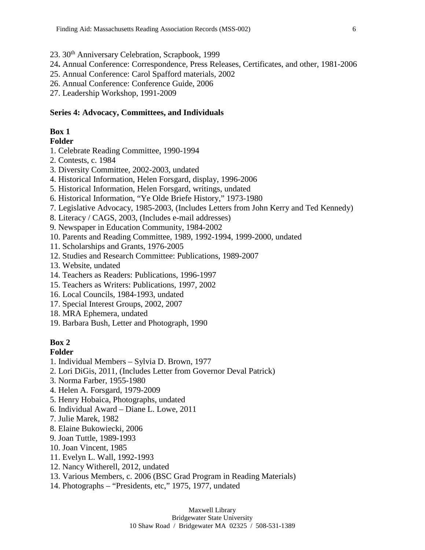- 23. 30th Anniversary Celebration, Scrapbook, 1999
- 24**.** Annual Conference: Correspondence, Press Releases, Certificates, and other, 1981-2006
- 25. Annual Conference: Carol Spafford materials, 2002
- 26. Annual Conference: Conference Guide, 2006
- 27. Leadership Workshop, 1991-2009

#### **Series 4: Advocacy, Committees, and Individuals**

### **Box 1**

#### **Folder**

- 1. Celebrate Reading Committee, 1990-1994
- 2. Contests, c. 1984
- 3. Diversity Committee, 2002-2003, undated
- 4. Historical Information, Helen Forsgard, display, 1996-2006
- 5. Historical Information, Helen Forsgard, writings, undated
- 6. Historical Information, "Ye Olde Briefe History," 1973-1980
- 7. Legislative Advocacy, 1985-2003, (Includes Letters from John Kerry and Ted Kennedy)
- 8. Literacy / CAGS, 2003, (Includes e-mail addresses)
- 9. Newspaper in Education Community, 1984-2002
- 10. Parents and Reading Committee, 1989, 1992-1994, 1999-2000, undated
- 11. Scholarships and Grants, 1976-2005
- 12. Studies and Research Committee: Publications, 1989-2007
- 13. Website, undated
- 14. Teachers as Readers: Publications, 1996-1997
- 15. Teachers as Writers: Publications, 1997, 2002
- 16. Local Councils, 1984-1993, undated
- 17. Special Interest Groups, 2002, 2007
- 18. MRA Ephemera, undated
- 19. Barbara Bush, Letter and Photograph, 1990

# **Box 2**

- 1. Individual Members Sylvia D. Brown, 1977
- 2. Lori DiGis, 2011, (Includes Letter from Governor Deval Patrick)
- 3. Norma Farber, 1955-1980
- 4. Helen A. Forsgard, 1979-2009
- 5. Henry Hobaica, Photographs, undated
- 6. Individual Award Diane L. Lowe, 2011
- 7. Julie Marek, 1982
- 8. Elaine Bukowiecki, 2006
- 9. Joan Tuttle, 1989-1993
- 10. Joan Vincent, 1985
- 11. Evelyn L. Wall, 1992-1993
- 12. Nancy Witherell, 2012, undated
- 13. Various Members, c. 2006 (BSC Grad Program in Reading Materials)
- 14. Photographs "Presidents, etc," 1975, 1977, undated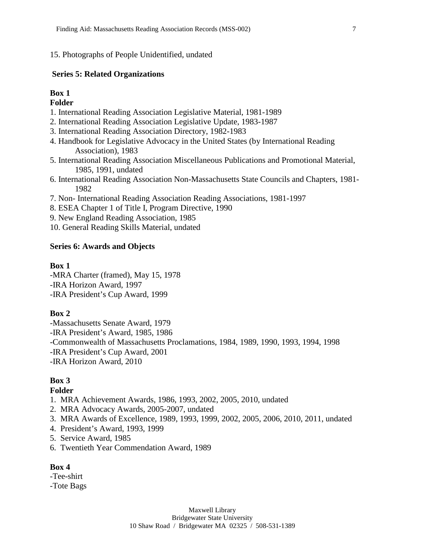#### 15. Photographs of People Unidentified, undated

#### **Series 5: Related Organizations**

# **Box 1**

**Folder**

- 1. International Reading Association Legislative Material, 1981-1989
- 2. International Reading Association Legislative Update, 1983-1987
- 3. International Reading Association Directory, 1982-1983
- 4. Handbook for Legislative Advocacy in the United States (by International Reading Association), 1983
- 5. International Reading Association Miscellaneous Publications and Promotional Material, 1985, 1991, undated
- 6. International Reading Association Non-Massachusetts State Councils and Chapters, 1981- 1982
- 7. Non- International Reading Association Reading Associations, 1981-1997
- 8. ESEA Chapter 1 of Title I, Program Directive, 1990
- 9. New England Reading Association, 1985

10. General Reading Skills Material, undated

#### **Series 6: Awards and Objects**

#### **Box 1**

-MRA Charter (framed), May 15, 1978 -IRA Horizon Award, 1997 -IRA President's Cup Award, 1999

#### **Box 2**

-Massachusetts Senate Award, 1979 -IRA President's Award, 1985, 1986 -Commonwealth of Massachusetts Proclamations, 1984, 1989, 1990, 1993, 1994, 1998 -IRA President's Cup Award, 2001 -IRA Horizon Award, 2010

#### **Box 3**

#### **Folder**

- 1. MRA Achievement Awards, 1986, 1993, 2002, 2005, 2010, undated
- 2. MRA Advocacy Awards, 2005-2007, undated
- 3. MRA Awards of Excellence, 1989, 1993, 1999, 2002, 2005, 2006, 2010, 2011, undated
- 4. President's Award, 1993, 1999
- 5. Service Award, 1985
- 6. Twentieth Year Commendation Award, 1989

#### **Box 4**

- -Tee-shirt
- -Tote Bags